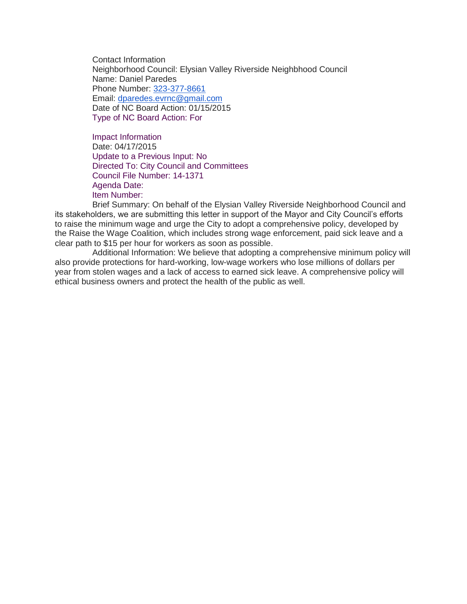Contact Information Neighborhood Council: Elysian Valley Riverside Neighbhood Council Name: Daniel Paredes Phone Number: [323-377-8661](tel:323-377-8661) Email: [dparedes.evrnc@gmail.com](mailto:dparedes.evrnc@gmail.com) Date of NC Board Action: 01/15/2015 Type of NC Board Action: For

Impact Information Date: 04/17/2015 Update to a Previous Input: No Directed To: City Council and Committees Council File Number: 14-1371 Agenda Date: Item Number:

Brief Summary: On behalf of the Elysian Valley Riverside Neighborhood Council and its stakeholders, we are submitting this letter in support of the Mayor and City Council's efforts to raise the minimum wage and urge the City to adopt a comprehensive policy, developed by the Raise the Wage Coalition, which includes strong wage enforcement, paid sick leave and a clear path to \$15 per hour for workers as soon as possible.

Additional Information: We believe that adopting a comprehensive minimum policy will also provide protections for hard-working, low-wage workers who lose millions of dollars per year from stolen wages and a lack of access to earned sick leave. A comprehensive policy will ethical business owners and protect the health of the public as well.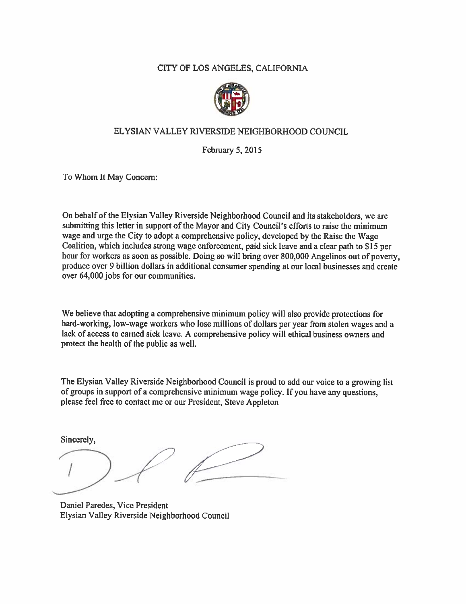#### CITY OF LOS ANGELES, CALIFORNIA



#### ELYSIAN VALLEY RIVERSIDE NEIGHBORHOOD COUNCIL

February 5, 2015

To Whom It May Concern:

On behalf of the Elysian Valley Riverside Neighborhood Council and its stakeholders, we are submitting this letter in support of the Mayor and City Council's efforts to raise the minimum wage and urge the City to adopt a comprehensive policy, developed by the Raise the Wage Coalition, which includes strong wage enforcement, paid sick leave and a clear path to \$15 per hour for workers as soon as possible. Doing so will bring over 800,000 Angelinos out of poverty, produce over 9 billion dollars in additional consumer spending at our local businesses and create over 64,000 jobs for our communities.

We believe that adopting a comprehensive minimum policy will also provide protections for hard-working, low-wage workers who lose millions of dollars per year from stolen wages and a lack of access to earned sick leave. A comprehensive policy will ethical business owners and protect the health of the public as well.

The Elysian Valley Riverside Neighborhood Council is proud to add our voice to a growing list of groups in support of a comprehensive minimum wage policy. If you have any questions, please feel free to contact me or our President, Steve Appleton

Sincerely,

Daniel Paredes, Vice President Elysian Valley Riverside Neighborhood Council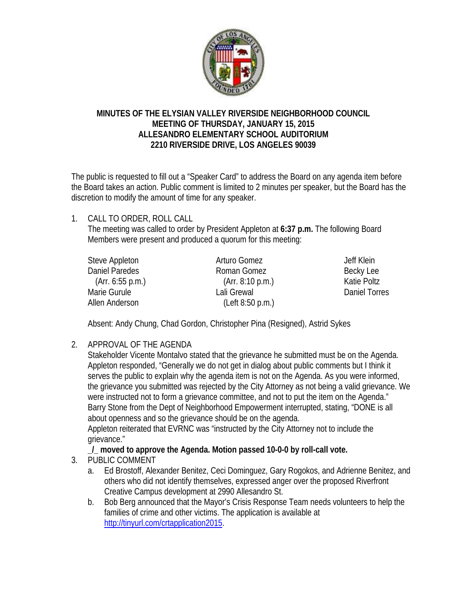

### **MINUTES OF THE ELYSIAN VALLEY RIVERSIDE NEIGHBORHOOD COUNCIL MEETING OF THURSDAY, JANUARY 15, 2015 ALLESANDRO ELEMENTARY SCHOOL AUDITORIUM 2210 RIVERSIDE DRIVE, LOS ANGELES 90039**

The public is requested to fill out a "Speaker Card" to address the Board on any agenda item before the Board takes an action. Public comment is limited to 2 minutes per speaker, but the Board has the discretion to modify the amount of time for any speaker.

1. CALL TO ORDER, ROLL CALL

The meeting was called to order by President Appleton at **6:37 p.m.** The following Board Members were present and produced a quorum for this meeting:

| Steve Appleton   | Arturo Gomez     | Jeff Klein    |
|------------------|------------------|---------------|
| Daniel Paredes   | Roman Gomez      | Becky Lee     |
| (Arr. 6:55 p.m.) | (Arr. 8:10 p.m.) | Katie Poltz   |
| Marie Gurule     | Lali Grewal      | Daniel Torres |
| Allen Anderson   | (Left 8:50 p.m.) |               |

Absent: Andy Chung, Chad Gordon, Christopher Pina (Resigned), Astrid Sykes

2. APPROVAL OF THE AGENDA

Stakeholder Vicente Montalvo stated that the grievance he submitted must be on the Agenda. Appleton responded, "Generally we do not get in dialog about public comments but I think it serves the public to explain why the agenda item is not on the Agenda. As you were informed, the grievance you submitted was rejected by the City Attorney as not being a valid grievance. We were instructed not to form a grievance committee, and not to put the item on the Agenda." Barry Stone from the Dept of Neighborhood Empowerment interrupted, stating, "DONE is all about openness and so the grievance should be on the agenda.

Appleton reiterated that EVRNC was "instructed by the City Attorney not to include the grievance."

**\_/\_ moved to approve the Agenda. Motion passed 10-0-0 by roll-call vote.** 

- 3. PUBLIC COMMENT
	- a. Ed Brostoff, Alexander Benitez, Ceci Dominguez, Gary Rogokos, and Adrienne Benitez, and others who did not identify themselves, expressed anger over the proposed Riverfront Creative Campus development at 2990 Allesandro St.
	- b. Bob Berg announced that the Mayor's Crisis Response Team needs volunteers to help the families of crime and other victims. The application is available at http://tinyurl.com/crtapplication2015.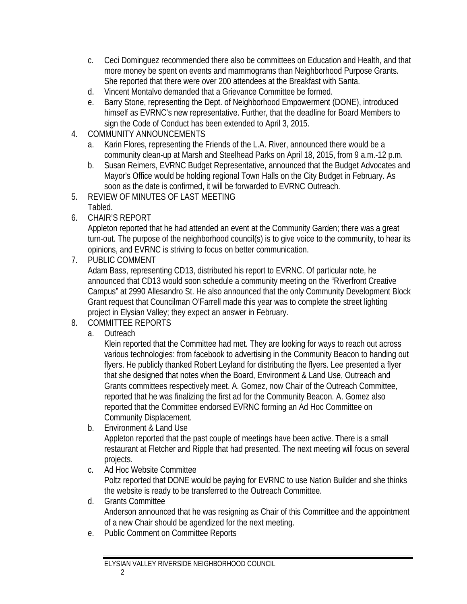- c. Ceci Dominguez recommended there also be committees on Education and Health, and that more money be spent on events and mammograms than Neighborhood Purpose Grants. She reported that there were over 200 attendees at the Breakfast with Santa.
- d. Vincent Montalvo demanded that a Grievance Committee be formed.
- e. Barry Stone, representing the Dept. of Neighborhood Empowerment (DONE), introduced himself as EVRNC's new representative. Further, that the deadline for Board Members to sign the Code of Conduct has been extended to April 3, 2015.
- 4. COMMUNITY ANNOUNCEMENTS
	- a. Karin Flores, representing the Friends of the L.A. River, announced there would be a community clean-up at Marsh and Steelhead Parks on April 18, 2015, from 9 a.m.-12 p.m.
	- b. Susan Reimers, EVRNC Budget Representative, announced that the Budget Advocates and Mayor's Office would be holding regional Town Halls on the City Budget in February. As soon as the date is confirmed, it will be forwarded to EVRNC Outreach.
- 5. REVIEW OF MINUTES OF LAST MEETING Tabled.
- 6. CHAIR'S REPORT

Appleton reported that he had attended an event at the Community Garden; there was a great turn-out. The purpose of the neighborhood council(s) is to give voice to the community, to hear its opinions, and EVRNC is striving to focus on better communication.

7. PUBLIC COMMENT

Adam Bass, representing CD13, distributed his report to EVRNC. Of particular note, he announced that CD13 would soon schedule a community meeting on the "Riverfront Creative Campus" at 2990 Allesandro St. He also announced that the only Community Development Block Grant request that Councilman O'Farrell made this year was to complete the street lighting project in Elysian Valley; they expect an answer in February.

- 8. COMMITTEE REPORTS
	- a. Outreach

 Klein reported that the Committee had met. They are looking for ways to reach out across various technologies: from facebook to advertising in the Community Beacon to handing out flyers. He publicly thanked Robert Leyland for distributing the flyers. Lee presented a flyer that she designed that notes when the Board, Environment & Land Use, Outreach and Grants committees respectively meet. A. Gomez, now Chair of the Outreach Committee, reported that he was finalizing the first ad for the Community Beacon. A. Gomez also reported that the Committee endorsed EVRNC forming an Ad Hoc Committee on Community Displacement.

b. Environment & Land Use

 Appleton reported that the past couple of meetings have been active. There is a small restaurant at Fletcher and Ripple that had presented. The next meeting will focus on several projects.

- c. Ad Hoc Website Committee Poltz reported that DONE would be paying for EVRNC to use Nation Builder and she thinks the website is ready to be transferred to the Outreach Committee.
- d. Grants Committee Anderson announced that he was resigning as Chair of this Committee and the appointment of a new Chair should be agendized for the next meeting.
- e. Public Comment on Committee Reports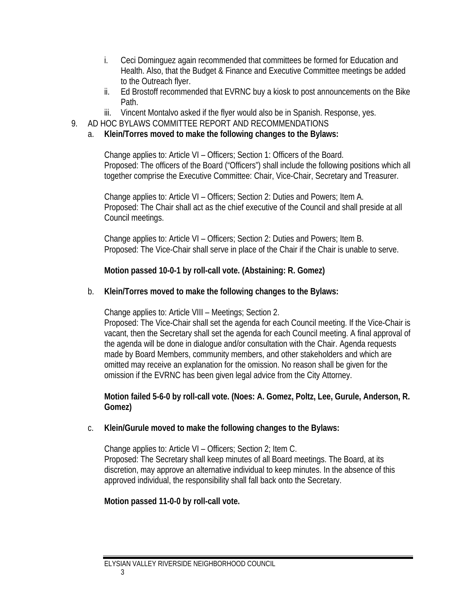- i. Ceci Dominguez again recommended that committees be formed for Education and Health. Also, that the Budget & Finance and Executive Committee meetings be added to the Outreach flyer.
- ii. Ed Brostoff recommended that EVRNC buy a kiosk to post announcements on the Bike Path.
- iii. Vincent Montalvo asked if the flyer would also be in Spanish. Response, yes.
- 9. AD HOC BYLAWS COMMITTEE REPORT AND RECOMMENDATIONS
	- a. **Klein/Torres moved to make the following changes to the Bylaws:**

Change applies to: Article VI – Officers; Section 1: Officers of the Board. Proposed: The officers of the Board ("Officers") shall include the following positions which all together comprise the Executive Committee: Chair, Vice-Chair, Secretary and Treasurer.

Change applies to: Article VI – Officers; Section 2: Duties and Powers; Item A. Proposed: The Chair shall act as the chief executive of the Council and shall preside at all Council meetings.

Change applies to: Article VI – Officers; Section 2: Duties and Powers; Item B. Proposed: The Vice-Chair shall serve in place of the Chair if the Chair is unable to serve.

**Motion passed 10-0-1 by roll-call vote. (Abstaining: R. Gomez)** 

## b. **Klein/Torres moved to make the following changes to the Bylaws:**

Change applies to: Article VIII – Meetings; Section 2.

Proposed: The Vice-Chair shall set the agenda for each Council meeting. If the Vice-Chair is vacant, then the Secretary shall set the agenda for each Council meeting. A final approval of the agenda will be done in dialogue and/or consultation with the Chair. Agenda requests made by Board Members, community members, and other stakeholders and which are omitted may receive an explanation for the omission. No reason shall be given for the omission if the EVRNC has been given legal advice from the City Attorney.

**Motion failed 5-6-0 by roll-call vote. (Noes: A. Gomez, Poltz, Lee, Gurule, Anderson, R. Gomez)** 

### c. **Klein/Gurule moved to make the following changes to the Bylaws:**

Change applies to: Article VI – Officers; Section 2; Item C. Proposed: The Secretary shall keep minutes of all Board meetings. The Board, at its discretion, may approve an alternative individual to keep minutes. In the absence of this approved individual, the responsibility shall fall back onto the Secretary.

# **Motion passed 11-0-0 by roll-call vote.**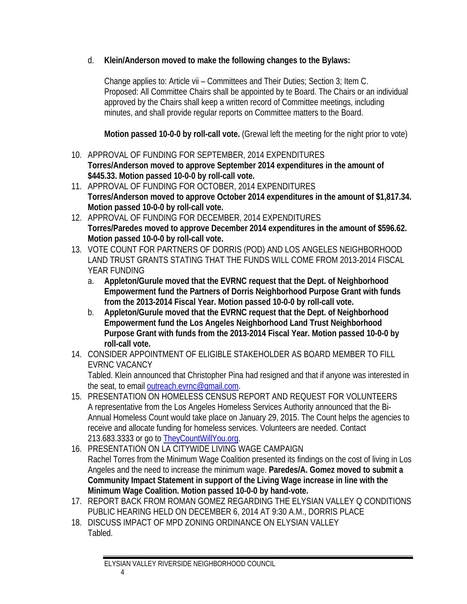# d. **Klein/Anderson moved to make the following changes to the Bylaws:**

Change applies to: Article vii – Committees and Their Duties; Section 3; Item C. Proposed: All Committee Chairs shall be appointed by te Board. The Chairs or an individual approved by the Chairs shall keep a written record of Committee meetings, including minutes, and shall provide regular reports on Committee matters to the Board.

**Motion passed 10-0-0 by roll-call vote.** (Grewal left the meeting for the night prior to vote)

- 10. APPROVAL OF FUNDING FOR SEPTEMBER, 2014 EXPENDITURES **Torres/Anderson moved to approve September 2014 expenditures in the amount of \$445.33. Motion passed 10-0-0 by roll-call vote.**
- 11. APPROVAL OF FUNDING FOR OCTOBER, 2014 EXPENDITURES **Torres/Anderson moved to approve October 2014 expenditures in the amount of \$1,817.34. Motion passed 10-0-0 by roll-call vote.**
- 12. APPROVAL OF FUNDING FOR DECEMBER, 2014 EXPENDITURES **Torres/Paredes moved to approve December 2014 expenditures in the amount of \$596.62. Motion passed 10-0-0 by roll-call vote.**
- 13. VOTE COUNT FOR PARTNERS OF DORRIS (POD) AND LOS ANGELES NEIGHBORHOOD LAND TRUST GRANTS STATING THAT THE FUNDS WILL COME FROM 2013-2014 FISCAL YEAR FUNDING
	- a. **Appleton/Gurule moved that the EVRNC request that the Dept. of Neighborhood Empowerment fund the Partners of Dorris Neighborhood Purpose Grant with funds from the 2013-2014 Fiscal Year. Motion passed 10-0-0 by roll-call vote.**
	- b. **Appleton/Gurule moved that the EVRNC request that the Dept. of Neighborhood Empowerment fund the Los Angeles Neighborhood Land Trust Neighborhood Purpose Grant with funds from the 2013-2014 Fiscal Year. Motion passed 10-0-0 by roll-call vote.**
- 14. CONSIDER APPOINTMENT OF ELIGIBLE STAKEHOLDER AS BOARD MEMBER TO FILL EVRNC VACANCY

Tabled. Klein announced that Christopher Pina had resigned and that if anyone was interested in the seat, to email outreach.evrnc@gmail.com.

- 15. PRESENTATION ON HOMELESS CENSUS REPORT AND REQUEST FOR VOLUNTEERS A representative from the Los Angeles Homeless Services Authority announced that the Bi-Annual Homeless Count would take place on January 29, 2015. The Count helps the agencies to receive and allocate funding for homeless services. Volunteers are needed. Contact 213.683.3333 or go to TheyCountWillYou.org.
- 16. PRESENTATION ON LA CITYWIDE LIVING WAGE CAMPAIGN Rachel Torres from the Minimum Wage Coalition presented its findings on the cost of living in Los Angeles and the need to increase the minimum wage. **Paredes/A. Gomez moved to submit a Community Impact Statement in support of the Living Wage increase in line with the Minimum Wage Coalition. Motion passed 10-0-0 by hand-vote.**
- 17. REPORT BACK FROM ROMAN GOMEZ REGARDING THE ELYSIAN VALLEY Q CONDITIONS PUBLIC HEARING HELD ON DECEMBER 6, 2014 AT 9:30 A.M., DORRIS PLACE
- 18. DISCUSS IMPACT OF MPD ZONING ORDINANCE ON ELYSIAN VALLEY Tabled.